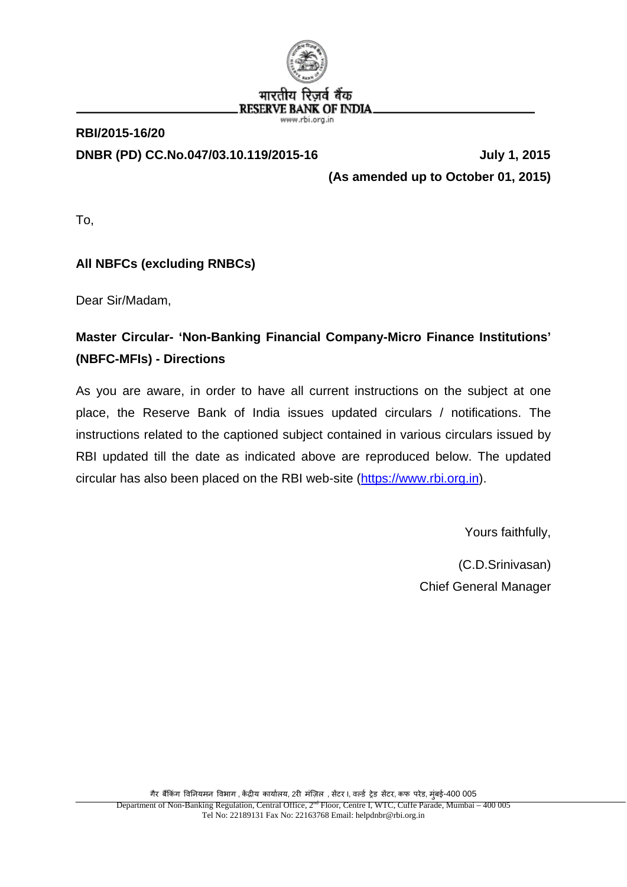

# **RBI/2015-16/20 DNBR (PD) CC.No.047/03.10.119/2015-16 July 1, 2015**

**(As amended up to October 01, 2015)**

To,

# **All NBFCs (excluding RNBCs)**

Dear Sir/Madam,

# **Master Circular- 'Non-Banking Financial Company-Micro Finance Institutions' (NBFC-MFIs) - Directions**

As you are aware, in order to have all current instructions on the subject at one place, the Reserve Bank of India issues updated circulars / notifications. The instructions related to the captioned subject contained in various circulars issued by RBI updated till the date as indicated above are reproduced below. The updated circular has also been placed on the RBI web-site [\(https://www.rbi.org.in\)](https://www.rbi.org.in/).

Yours faithfully,

(C.D.Srinivasan) Chief General Manager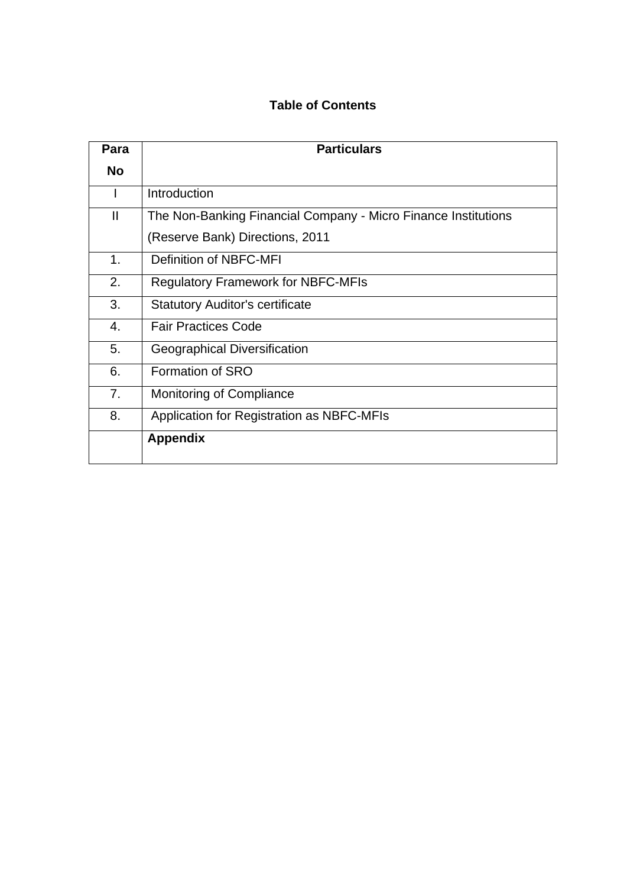## **Table of Contents**

| Para           | <b>Particulars</b>                                             |  |  |  |  |  |
|----------------|----------------------------------------------------------------|--|--|--|--|--|
| <b>No</b>      |                                                                |  |  |  |  |  |
|                | Introduction                                                   |  |  |  |  |  |
| Ш              | The Non-Banking Financial Company - Micro Finance Institutions |  |  |  |  |  |
|                | (Reserve Bank) Directions, 2011                                |  |  |  |  |  |
| 1.             | Definition of NBFC-MFI                                         |  |  |  |  |  |
| 2.             | <b>Regulatory Framework for NBFC-MFIs</b>                      |  |  |  |  |  |
| 3.             | <b>Statutory Auditor's certificate</b>                         |  |  |  |  |  |
| 4.             | <b>Fair Practices Code</b>                                     |  |  |  |  |  |
| 5.             | Geographical Diversification                                   |  |  |  |  |  |
| 6.             | Formation of SRO                                               |  |  |  |  |  |
| 7 <sub>1</sub> | Monitoring of Compliance                                       |  |  |  |  |  |
| 8.             | Application for Registration as NBFC-MFIs                      |  |  |  |  |  |
|                | <b>Appendix</b>                                                |  |  |  |  |  |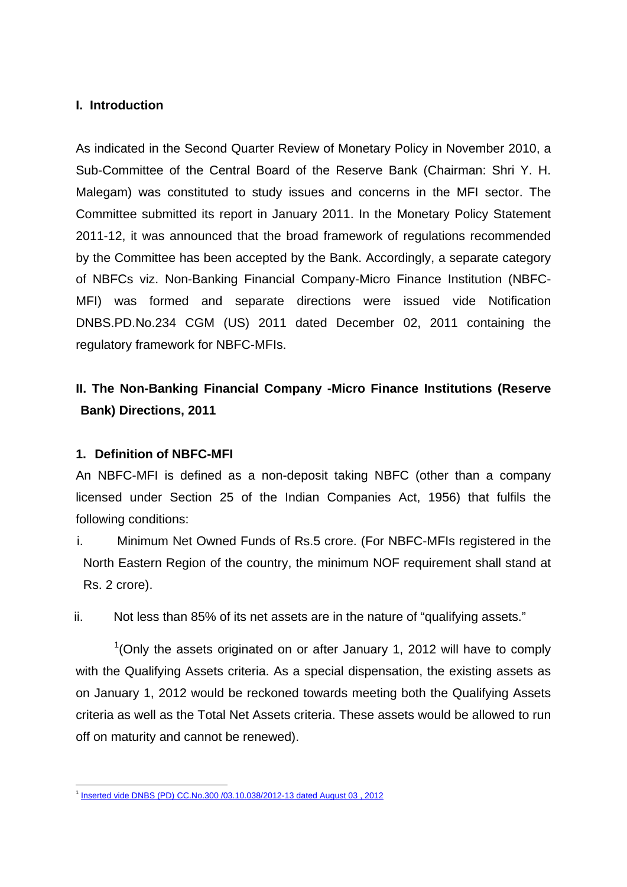#### **I. Introduction**

As indicated in the Second Quarter Review of Monetary Policy in November 2010, a Sub-Committee of the Central Board of the Reserve Bank (Chairman: Shri Y. H. Malegam) was constituted to study issues and concerns in the MFI sector. The Committee submitted its report in January 2011. In the Monetary Policy Statement 2011-12, it was announced that the broad framework of regulations recommended by the Committee has been accepted by the Bank. Accordingly, a separate category of NBFCs viz. Non-Banking Financial Company-Micro Finance Institution (NBFC-MFI) was formed and separate directions were issued vide Notification DNBS.PD.No.234 CGM (US) 2011 dated December 02, 2011 containing the regulatory framework for NBFC-MFIs.

# **II. The Non-Banking Financial Company -Micro Finance Institutions (Reserve Bank) Directions, 2011**

#### **1. Definition of NBFC-MFI**

An NBFC-MFI is defined as a non-deposit taking NBFC (other than a company licensed under Section 25 of the Indian Companies Act, 1956) that fulfils the following conditions:

- i. Minimum Net Owned Funds of Rs.5 crore. (For NBFC-MFIs registered in the North Eastern Region of the country, the minimum NOF requirement shall stand at Rs. 2 crore).
- ii. Not less than 85% of its net assets are in the nature of "qualifying assets."

 $1$ (Only the assets originated on or after January 1, 2012 will have to comply with the Qualifying Assets criteria. As a special dispensation, the existing assets as on January 1, 2012 would be reckoned towards meeting both the Qualifying Assets criteria as well as the Total Net Assets criteria. These assets would be allowed to run off on maturity and cannot be renewed).

<span id="page-2-0"></span><sup>&</sup>lt;sup>1</sup> Inserted vide DNBS (PD) CC.No.300 /03.10.038/2012-13 dated August 03, 2012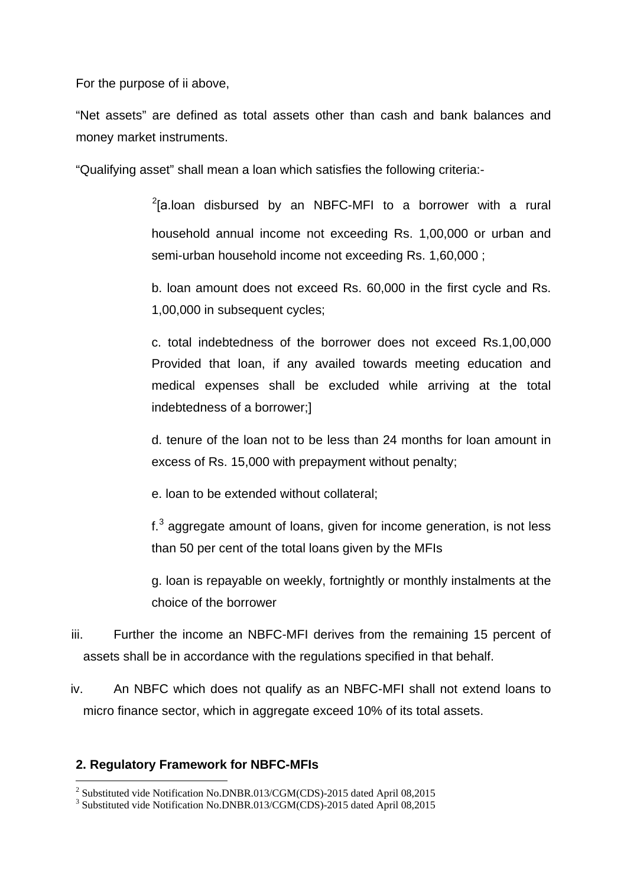For the purpose of ii above,

"Net assets" are defined as total assets other than cash and bank balances and money market instruments.

"Qualifying asset" shall mean a loan which satisfies the following criteria:-

 $2$ [a.loan disbursed by an NBFC-MFI to a borrower with a rural household annual income not exceeding Rs. 1,00,000 or urban and semi-urban household income not exceeding Rs. 1,60,000 ;

b. loan amount does not exceed Rs. 60,000 in the first cycle and Rs. 1,00,000 in subsequent cycles;

c. total indebtedness of the borrower does not exceed Rs.1,00,000 Provided that loan, if any availed towards meeting education and medical expenses shall be excluded while arriving at the total indebtedness of a borrower;]

d. tenure of the loan not to be less than 24 months for loan amount in excess of Rs. 15,000 with prepayment without penalty;

e. loan to be extended without collateral;

 $f<sup>3</sup>$  $f<sup>3</sup>$  $f<sup>3</sup>$  aggregate amount of loans, given for income generation, is not less than 50 per cent of the total loans given by the MFIs

g. loan is repayable on weekly, fortnightly or monthly instalments at the choice of the borrower

- iii. Further the income an NBFC-MFI derives from the remaining 15 percent of assets shall be in accordance with the regulations specified in that behalf.
- iv. An NBFC which does not qualify as an NBFC-MFI shall not extend loans to micro finance sector, which in aggregate exceed 10% of its total assets.

#### **2. Regulatory Framework for NBFC-MFIs**

<u>.</u>

<span id="page-3-0"></span><sup>&</sup>lt;sup>2</sup> Substituted vide Notification No.DNBR.013/CGM(CDS)-2015 dated April 08,2015  $\frac{3}{3}$  Substituted vide Notification No.DNBR.013/CGM(CDS)-2015 dated April 08,2015

<span id="page-3-1"></span>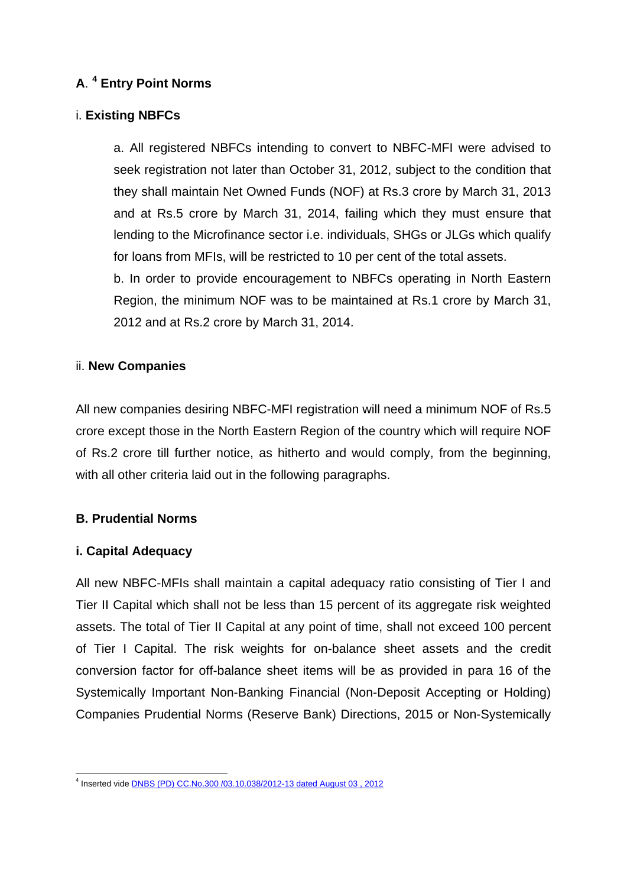## **A**. **[4](#page-4-0) Entry Point Norms**

## i. **Existing NBFCs**

a. All registered NBFCs intending to convert to NBFC-MFI were advised to seek registration not later than October 31, 2012, subject to the condition that they shall maintain Net Owned Funds (NOF) at Rs.3 crore by March 31, 2013 and at Rs.5 crore by March 31, 2014, failing which they must ensure that lending to the Microfinance sector i.e. individuals, SHGs or JLGs which qualify for loans from MFIs, will be restricted to 10 per cent of the total assets. b. In order to provide encouragement to NBFCs operating in North Eastern

Region, the minimum NOF was to be maintained at Rs.1 crore by March 31, 2012 and at Rs.2 crore by March 31, 2014.

#### ii. **New Companies**

All new companies desiring NBFC-MFI registration will need a minimum NOF of Rs.5 crore except those in the North Eastern Region of the country which will require NOF of Rs.2 crore till further notice, as hitherto and would comply, from the beginning, with all other criteria laid out in the following paragraphs.

## **B. Prudential Norms**

## **i. Capital Adequacy**

All new NBFC-MFIs shall maintain a capital adequacy ratio consisting of Tier I and Tier II Capital which shall not be less than 15 percent of its aggregate risk weighted assets. The total of Tier II Capital at any point of time, shall not exceed 100 percent of Tier I Capital. The risk weights for on-balance sheet assets and the credit conversion factor for off-balance sheet items will be as provided in para 16 of the Systemically Important Non-Banking Financial (Non-Deposit Accepting or Holding) Companies Prudential Norms (Reserve Bank) Directions, 2015 or Non-Systemically

<span id="page-4-0"></span><sup>&</sup>lt;sup>4</sup> Inserted vide **DNBS (PD) CC.No.300 /03.10.038/2012-13 dated August 03, 2012**  $\frac{1}{2}$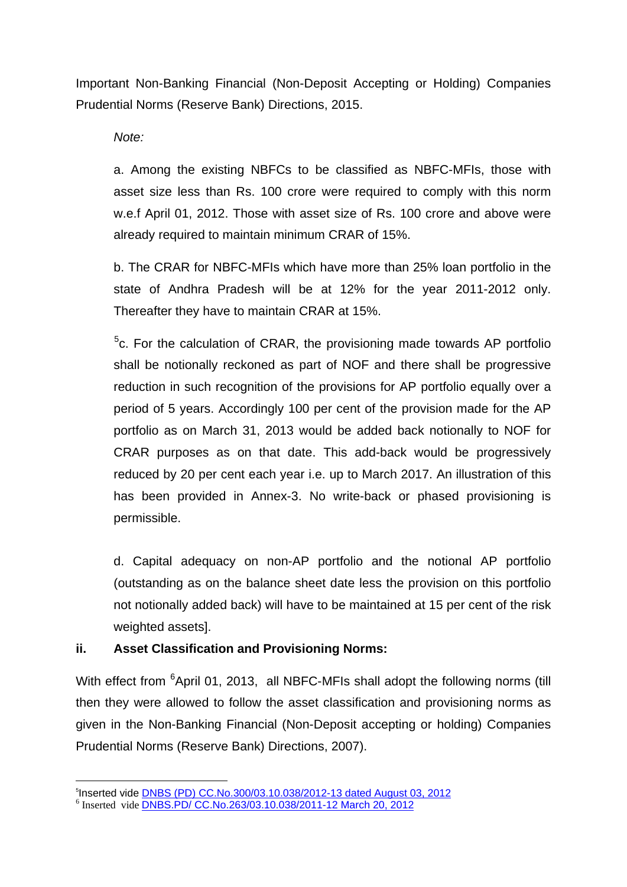Important Non-Banking Financial (Non-Deposit Accepting or Holding) Companies Prudential Norms (Reserve Bank) Directions, 2015.

*Note:* 

a. Among the existing NBFCs to be classified as NBFC-MFIs, those with asset size less than Rs. 100 crore were required to comply with this norm w.e.f April 01, 2012. Those with asset size of Rs. 100 crore and above were already required to maintain minimum CRAR of 15%.

b. The CRAR for NBFC-MFIs which have more than 25% loan portfolio in the state of Andhra Pradesh will be at 12% for the year 2011-2012 only. Thereafter they have to maintain CRAR at 15%.

<sup>[5](#page-5-0)</sup>c. For the calculation of CRAR, the provisioning made towards AP portfolio shall be notionally reckoned as part of NOF and there shall be progressive reduction in such recognition of the provisions for AP portfolio equally over a period of 5 years. Accordingly 100 per cent of the provision made for the AP portfolio as on March 31, 2013 would be added back notionally to NOF for CRAR purposes as on that date. This add-back would be progressively reduced by 20 per cent each year i.e. up to March 2017. An illustration of this has been provided in Annex-3. No write-back or phased provisioning is permissible.

d. Capital adequacy on non-AP portfolio and the notional AP portfolio (outstanding as on the balance sheet date less the provision on this portfolio not notionally added back) will have to be maintained at 15 per cent of the risk weighted assets].

## **ii. Asset Classification and Provisioning Norms:**

With effect from <sup>[6](#page-5-1)</sup>April 01, 2013, all NBFC-MFIs shall adopt the following norms (till then they were allowed to follow the asset classification and provisioning norms as given in the Non-Banking Financial (Non-Deposit accepting or holding) Companies Prudential Norms (Reserve Bank) Directions, 2007).

<u>.</u>

<span id="page-5-0"></span><sup>&</sup>lt;sup>5</sup>Inserted vide <u>DNBS (PD) CC.No.300/03.10.038/2012-13 dated August 03, 2012</u><br><sup>6</sup> Inserted vide <u>[DNBS.PD/ CC.No.263/03.10.038/2011-12 March 20, 2012](https://rbi.org.in/scripts/NotificationUser.aspx?Id=7081&Mode=0)</u>

<span id="page-5-1"></span>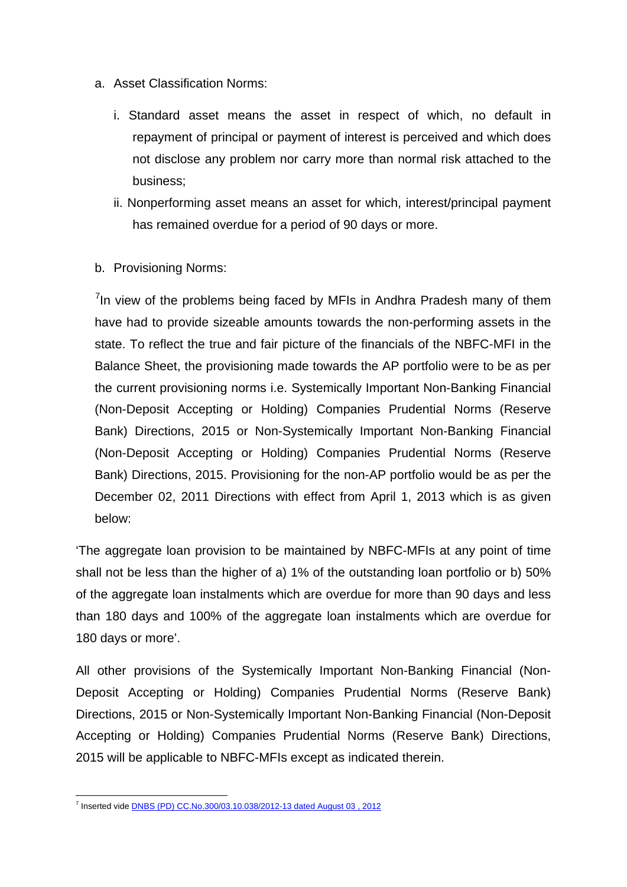- a. Asset Classification Norms:
	- i. Standard asset means the asset in respect of which, no default in repayment of principal or payment of interest is perceived and which does not disclose any problem nor carry more than normal risk attached to the business;
	- ii. Nonperforming asset means an asset for which, interest/principal payment has remained overdue for a period of 90 days or more.
- b. Provisioning Norms:

<sup>[7](#page-6-0)</sup>In view of the problems being faced by MFIs in Andhra Pradesh many of them have had to provide sizeable amounts towards the non-performing assets in the state. To reflect the true and fair picture of the financials of the NBFC-MFI in the Balance Sheet, the provisioning made towards the AP portfolio were to be as per the current provisioning norms i.e. Systemically Important Non-Banking Financial (Non-Deposit Accepting or Holding) Companies Prudential Norms (Reserve Bank) Directions, 2015 or Non-Systemically Important Non-Banking Financial (Non-Deposit Accepting or Holding) Companies Prudential Norms (Reserve Bank) Directions, 2015. Provisioning for the non-AP portfolio would be as per the December 02, 2011 Directions with effect from April 1, 2013 which is as given below:

'The aggregate loan provision to be maintained by NBFC-MFIs at any point of time shall not be less than the higher of a) 1% of the outstanding loan portfolio or b) 50% of the aggregate loan instalments which are overdue for more than 90 days and less than 180 days and 100% of the aggregate loan instalments which are overdue for 180 days or more'.

All other provisions of the Systemically Important Non-Banking Financial (Non-Deposit Accepting or Holding) Companies Prudential Norms (Reserve Bank) Directions, 2015 or Non-Systemically Important Non-Banking Financial (Non-Deposit Accepting or Holding) Companies Prudential Norms (Reserve Bank) Directions, 2015 will be applicable to NBFC-MFIs except as indicated therein.

<span id="page-6-0"></span><sup>&</sup>lt;sup>7</sup> Inserted vide **DNBS (PD) CC.No.300/03.10.038/2012-13 dated August 03, 2012**  $\overline{a}$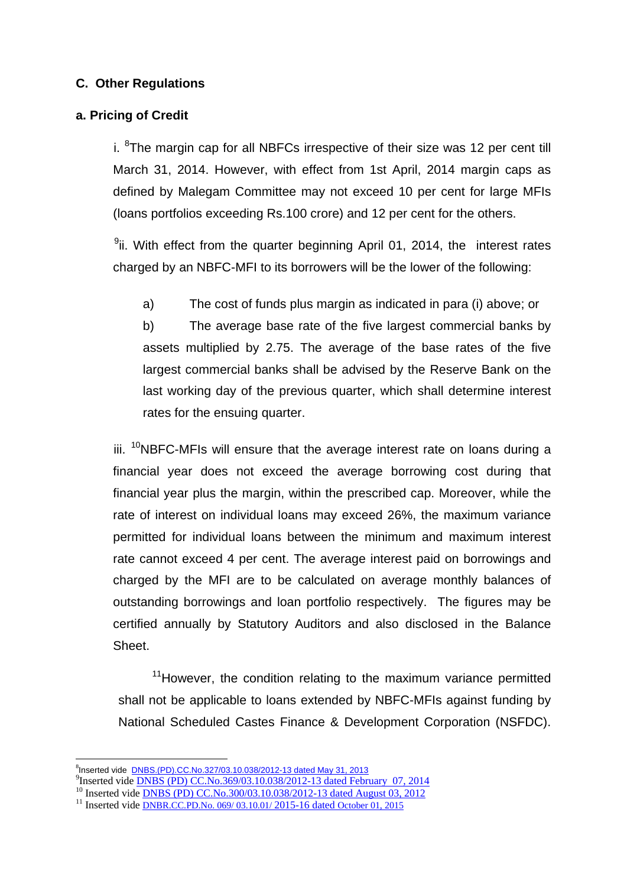### **C. Other Regulations**

#### **a. Pricing of Credit**

i. <sup>[8](#page-7-0)</sup>The margin cap for all NBFCs irrespective of their size was 12 per cent till March 31, 2014. However, with effect from 1st April, 2014 margin caps as defined by Malegam Committee may not exceed 10 per cent for large MFIs (loans portfolios exceeding Rs.100 crore) and 12 per cent for the others.

<sup>[9](#page-7-1)</sup>ii. With effect from the quarter beginning April 01, 2014, the interest rates charged by an NBFC-MFI to its borrowers will be the lower of the following:

a) The cost of funds plus margin as indicated in para (i) above; or

b) The average base rate of the five largest commercial banks by assets multiplied by 2.75. The average of the base rates of the five largest commercial banks shall be advised by the Reserve Bank on the last working day of the previous quarter, which shall determine interest rates for the ensuing quarter.

iii.  $10$ NBFC-MFIs will ensure that the average interest rate on loans during a financial year does not exceed the average borrowing cost during that financial year plus the margin, within the prescribed cap. Moreover, while the rate of interest on individual loans may exceed 26%, the maximum variance permitted for individual loans between the minimum and maximum interest rate cannot exceed 4 per cent. The average interest paid on borrowings and charged by the MFI are to be calculated on average monthly balances of outstanding borrowings and loan portfolio respectively. The figures may be certified annually by Statutory Auditors and also disclosed in the Balance Sheet.

 $11$ However, the condition relating to the maximum variance permitted shall not be applicable to loans extended by NBFC-MFIs against funding by National Scheduled Castes Finance & Development Corporation (NSFDC).

<sup>-&</sup>lt;br>8

<span id="page-7-0"></span> $P_{\text{Inserted video}}$  inserted vide DNBS (PD) CC.No.369/03.10.038/2012-13 dated February 07, 2014

<span id="page-7-2"></span><span id="page-7-1"></span><sup>&</sup>lt;sup>10</sup> Inserted vide <u>DNBS (PD) CC.No.300/03.10.038/2012-13 dated August 03, 2012<br><sup>11</sup> Inserted vide [DNBR.CC.PD.No. 069/ 03.10.01/ 2015-16](https://rbi.org.in/Scripts/NotificationUser.aspx?Id=10053&Mode=0) dated October 01, 2015</u>

<span id="page-7-3"></span>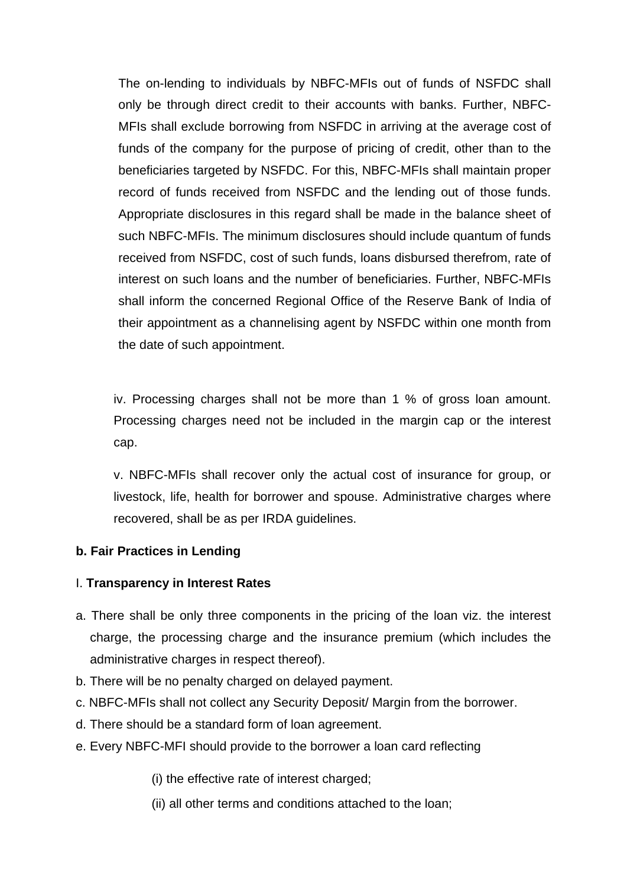The on-lending to individuals by NBFC-MFIs out of funds of NSFDC shall only be through direct credit to their accounts with banks. Further, NBFC-MFIs shall exclude borrowing from NSFDC in arriving at the average cost of funds of the company for the purpose of pricing of credit, other than to the beneficiaries targeted by NSFDC. For this, NBFC-MFIs shall maintain proper record of funds received from NSFDC and the lending out of those funds. Appropriate disclosures in this regard shall be made in the balance sheet of such NBFC-MFIs. The minimum disclosures should include quantum of funds received from NSFDC, cost of such funds, loans disbursed therefrom, rate of interest on such loans and the number of beneficiaries. Further, NBFC-MFIs shall inform the concerned Regional Office of the Reserve Bank of India of their appointment as a channelising agent by NSFDC within one month from the date of such appointment.

iv. Processing charges shall not be more than 1 % of gross loan amount. Processing charges need not be included in the margin cap or the interest cap.

v. NBFC-MFIs shall recover only the actual cost of insurance for group, or livestock, life, health for borrower and spouse. Administrative charges where recovered, shall be as per IRDA guidelines.

#### **b. Fair Practices in Lending**

#### I. **Transparency in Interest Rates**

- a. There shall be only three components in the pricing of the loan viz. the interest charge, the processing charge and the insurance premium (which includes the administrative charges in respect thereof).
- b. There will be no penalty charged on delayed payment.
- c. NBFC-MFIs shall not collect any Security Deposit/ Margin from the borrower.
- d. There should be a standard form of loan agreement.
- e. Every NBFC-MFI should provide to the borrower a loan card reflecting

(i) the effective rate of interest charged;

(ii) all other terms and conditions attached to the loan;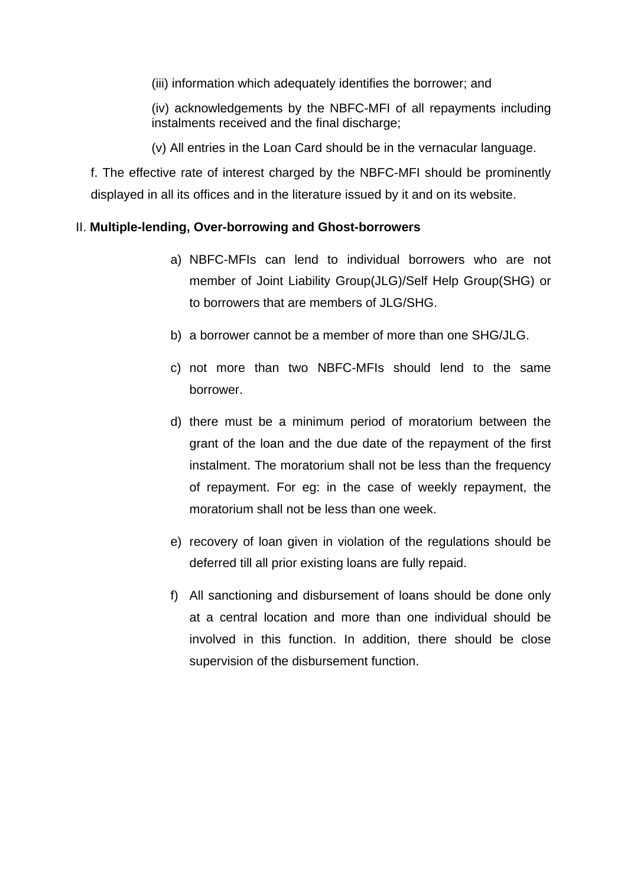(iii) information which adequately identifies the borrower; and

(iv) acknowledgements by the NBFC-MFI of all repayments including instalments received and the final discharge;

(v) All entries in the Loan Card should be in the vernacular language.

f. The effective rate of interest charged by the NBFC-MFI should be prominently displayed in all its offices and in the literature issued by it and on its website.

#### II. **Multiple-lending, Over-borrowing and Ghost-borrowers**

- a) NBFC-MFIs can lend to individual borrowers who are not member of Joint Liability Group(JLG)/Self Help Group(SHG) or to borrowers that are members of JLG/SHG.
- b) a borrower cannot be a member of more than one SHG/JLG.
- c) not more than two NBFC-MFIs should lend to the same borrower.
- d) there must be a minimum period of moratorium between the grant of the loan and the due date of the repayment of the first instalment. The moratorium shall not be less than the frequency of repayment. For eg: in the case of weekly repayment, the moratorium shall not be less than one week.
- e) recovery of loan given in violation of the regulations should be deferred till all prior existing loans are fully repaid.
- f) All sanctioning and disbursement of loans should be done only at a central location and more than one individual should be involved in this function. In addition, there should be close supervision of the disbursement function.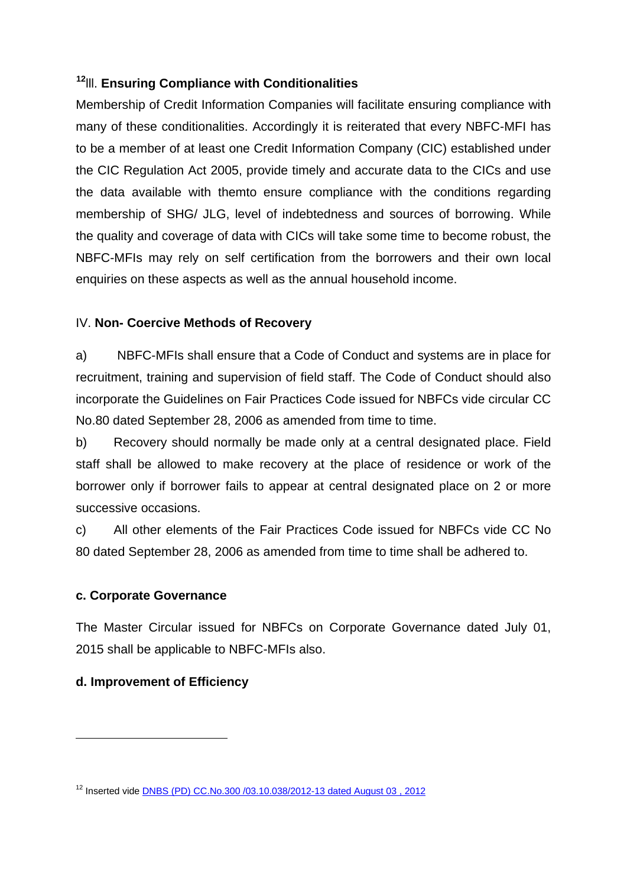### **[12](#page-10-0)**lll. **Ensuring Compliance with Conditionalities**

Membership of Credit Information Companies will facilitate ensuring compliance with many of these conditionalities. Accordingly it is reiterated that every NBFC-MFI has to be a member of at least one Credit Information Company (CIC) established under the CIC Regulation Act 2005, provide timely and accurate data to the CICs and use the data available with themto ensure compliance with the conditions regarding membership of SHG/ JLG, level of indebtedness and sources of borrowing. While the quality and coverage of data with CICs will take some time to become robust, the NBFC-MFIs may rely on self certification from the borrowers and their own local enquiries on these aspects as well as the annual household income.

#### IV. **Non- Coercive Methods of Recovery**

a) NBFC-MFIs shall ensure that a Code of Conduct and systems are in place for recruitment, training and supervision of field staff. The Code of Conduct should also incorporate the Guidelines on Fair Practices Code issued for NBFCs vide circular CC No.80 dated September 28, 2006 as amended from time to time.

b) Recovery should normally be made only at a central designated place. Field staff shall be allowed to make recovery at the place of residence or work of the borrower only if borrower fails to appear at central designated place on 2 or more successive occasions.

c) All other elements of the Fair Practices Code issued for NBFCs vide CC No 80 dated September 28, 2006 as amended from time to time shall be adhered to.

#### **c. Corporate Governance**

The Master Circular issued for NBFCs on Corporate Governance dated July 01, 2015 shall be applicable to NBFC-MFIs also.

#### **d. Improvement of Efficiency**

<u>.</u>

<span id="page-10-0"></span><sup>12</sup> Inserted vide [DNBS \(PD\) CC.No.300 /03.10.038/2012-13 dated August 03 , 2012](https://rbi.org.in/scripts/NotificationUser.aspx?Id=7493&Mode=0)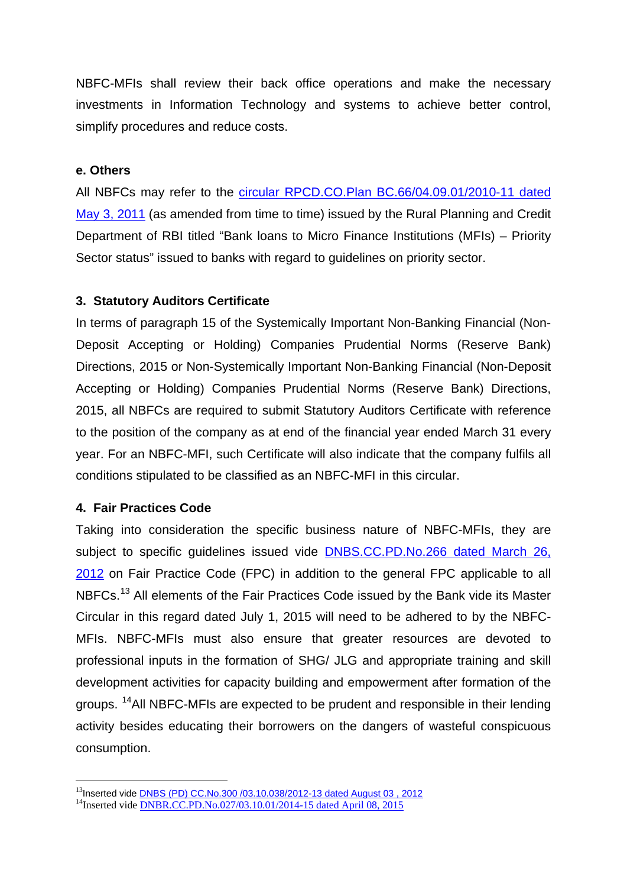NBFC-MFIs shall review their back office operations and make the necessary investments in Information Technology and systems to achieve better control, simplify procedures and reduce costs.

#### **e. Others**

All NBFCs may refer to the [circular RPCD.CO.Plan BC.66/04.09.01/2010-11 dated](https://rbi.org.in/scripts/NotificationUser.aspx?Id=6381&Mode=0)  [May 3, 2011](https://rbi.org.in/scripts/NotificationUser.aspx?Id=6381&Mode=0) (as amended from time to time) issued by the Rural Planning and Credit Department of RBI titled "Bank loans to Micro Finance Institutions (MFIs) – Priority Sector status" issued to banks with regard to guidelines on priority sector.

#### **3. Statutory Auditors Certificate**

In terms of paragraph 15 of the Systemically Important Non-Banking Financial (Non-Deposit Accepting or Holding) Companies Prudential Norms (Reserve Bank) Directions, 2015 or Non-Systemically Important Non-Banking Financial (Non-Deposit Accepting or Holding) Companies Prudential Norms (Reserve Bank) Directions, 2015, all NBFCs are required to submit Statutory Auditors Certificate with reference to the position of the company as at end of the financial year ended March 31 every year. For an NBFC-MFI, such Certificate will also indicate that the company fulfils all conditions stipulated to be classified as an NBFC-MFI in this circular.

#### **4. Fair Practices Code**

<u>.</u>

Taking into consideration the specific business nature of NBFC-MFIs, they are subject to specific guidelines issued vide [DNBS.CC.PD.No.266 dated March 26,](https://rbi.org.in/scripts/NotificationUser.aspx?Id=7089&Mode=0) [2012](https://rbi.org.in/scripts/NotificationUser.aspx?Id=7089&Mode=0) on Fair Practice Code (FPC) in addition to the general FPC applicable to all NBFCs.<sup>[13](#page-11-0)</sup> All elements of the Fair Practices Code issued by the Bank vide its Master Circular in this regard dated July 1, 2015 will need to be adhered to by the NBFC-MFIs. NBFC-MFIs must also ensure that greater resources are devoted to professional inputs in the formation of SHG/ JLG and appropriate training and skill development activities for capacity building and empowerment after formation of the groups. [14A](#page-11-1)ll NBFC-MFIs are expected to be prudent and responsible in their lending activity besides educating their borrowers on the dangers of wasteful conspicuous consumption.

<span id="page-11-0"></span><sup>&</sup>lt;sup>13</sup>Inserted vide <u>DNBS (PD) CC.No.300 /03.10.038/2012-13 dated August 03 , 2012<br><sup>14</sup>Inserted vide <u>DNBR.CC.PD.No.027/03.10.01/2014-15 dated April 08, 2015</u></u>

<span id="page-11-1"></span>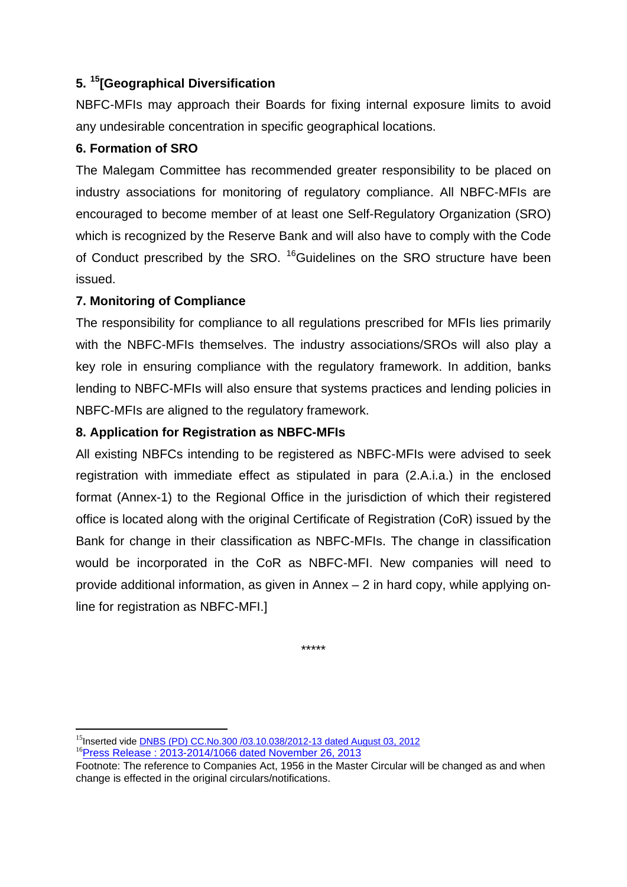### **5. [15\[](#page-12-0)Geographical Diversification**

NBFC-MFIs may approach their Boards for fixing internal exposure limits to avoid any undesirable concentration in specific geographical locations.

### **6. Formation of SRO**

The Malegam Committee has recommended greater responsibility to be placed on industry associations for monitoring of regulatory compliance. All NBFC-MFIs are encouraged to become member of at least one Self-Regulatory Organization (SRO) which is recognized by the Reserve Bank and will also have to comply with the Code of Conduct prescribed by the SRO. <sup>[16](#page-12-1)</sup>Guidelines on the SRO structure have been issued.

### **7. Monitoring of Compliance**

The responsibility for compliance to all regulations prescribed for MFIs lies primarily with the NBFC-MFIs themselves. The industry associations/SROs will also play a key role in ensuring compliance with the regulatory framework. In addition, banks lending to NBFC-MFIs will also ensure that systems practices and lending policies in NBFC-MFIs are aligned to the regulatory framework.

### **8. Application for Registration as NBFC-MFIs**

All existing NBFCs intending to be registered as NBFC-MFIs were advised to seek registration with immediate effect as stipulated in para (2.A.i.a.) in the enclosed format (Annex-1) to the Regional Office in the jurisdiction of which their registered office is located along with the original Certificate of Registration (CoR) issued by the Bank for change in their classification as NBFC-MFIs. The change in classification would be incorporated in the CoR as NBFC-MFI. New companies will need to provide additional information, as given in Annex – 2 in hard copy, while applying online for registration as NBFC-MFI.]

\*\*\*\*\*

-

<span id="page-12-0"></span><sup>&</sup>lt;sup>15</sup>Inserted vide **DNBS (PD) CC.No.300 /03.10.038/2012-13 dated August 03, 2012**<br><sup>16</sup>[Press Release : 2013-2014/1066](https://rbi.org.in/Scripts/NotificationUser.aspx?Id=7493&Mode=0) dated November 26, 2013

<span id="page-12-1"></span>

Footnote: The reference to Companies Act, 1956 in the Master Circular will be changed as and when change is effected in the original circulars/notifications.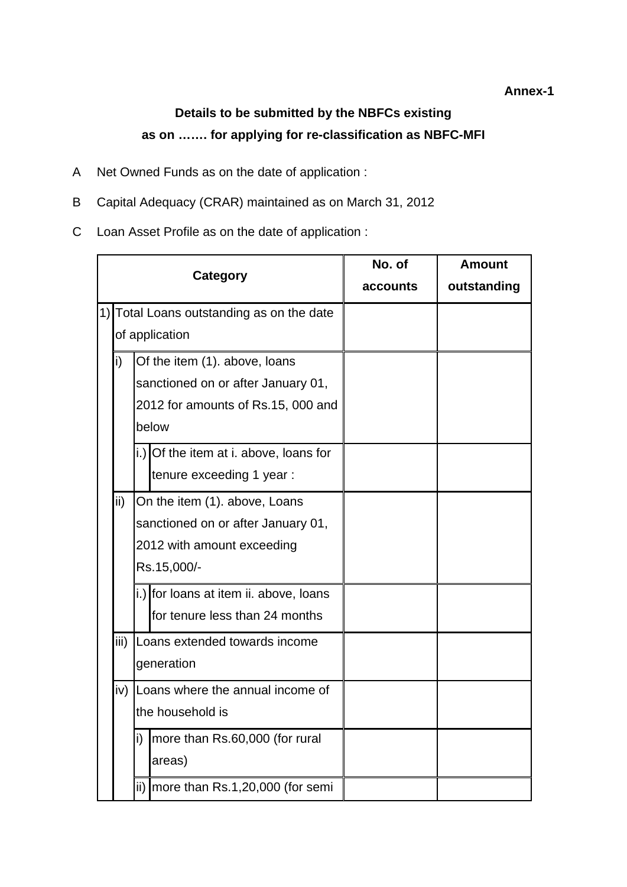#### **Annex-1**

# **Details to be submitted by the NBFCs existing as on ……. for applying for re-classification as NBFC-MFI**

- A Net Owned Funds as on the date of application :
- B Capital Adequacy (CRAR) maintained as on March 31, 2012
- C Loan Asset Profile as on the date of application :

|    |                                      |                                      |                                        | No. of   | <b>Amount</b> |
|----|--------------------------------------|--------------------------------------|----------------------------------------|----------|---------------|
|    |                                      |                                      | <b>Category</b>                        | accounts | outstanding   |
| 1) |                                      |                                      | Total Loans outstanding as on the date |          |               |
|    |                                      |                                      | of application                         |          |               |
|    | i)                                   |                                      | Of the item (1). above, loans          |          |               |
|    |                                      |                                      | sanctioned on or after January 01,     |          |               |
|    | 2012 for amounts of Rs.15, 000 and   |                                      |                                        |          |               |
|    | below                                |                                      |                                        |          |               |
|    |                                      |                                      | i.) Of the item at i. above, loans for |          |               |
|    |                                      |                                      | tenure exceeding 1 year:               |          |               |
|    | ii)<br>On the item (1). above, Loans |                                      |                                        |          |               |
|    | sanctioned on or after January 01,   |                                      |                                        |          |               |
|    |                                      |                                      | 2012 with amount exceeding             |          |               |
|    |                                      |                                      | Rs.15,000/-                            |          |               |
|    |                                      |                                      | i.) for loans at item ii. above, loans |          |               |
|    |                                      |                                      | for tenure less than 24 months         |          |               |
|    | iii)                                 | Loans extended towards income        |                                        |          |               |
|    |                                      | generation                           |                                        |          |               |
|    | iv)                                  | Loans where the annual income of     |                                        |          |               |
|    |                                      | the household is                     |                                        |          |               |
|    |                                      | i)<br>more than Rs.60,000 (for rural |                                        |          |               |
|    | areas)                               |                                      |                                        |          |               |
|    |                                      | ii)                                  | more than Rs.1,20,000 (for semi        |          |               |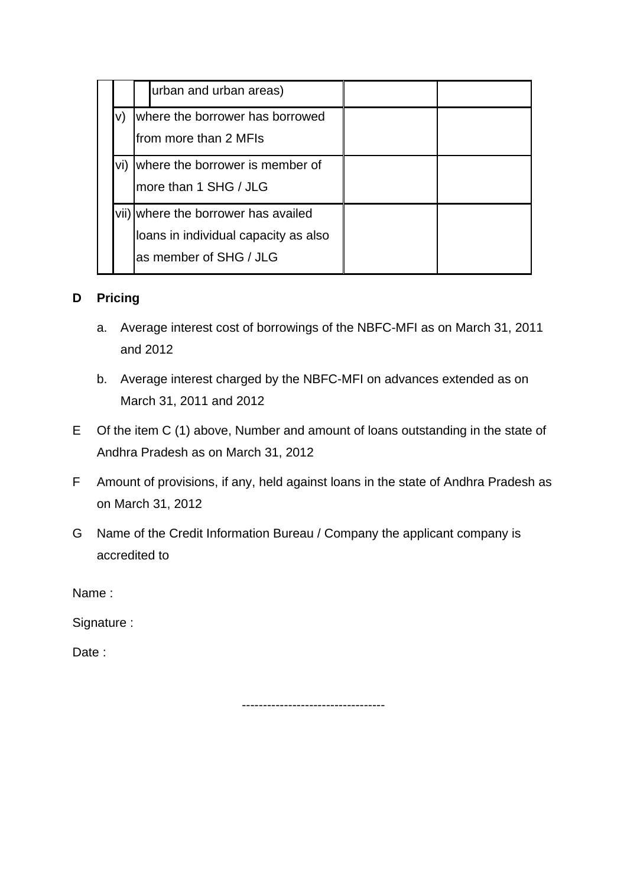|     | urban and urban areas)                                                                                |  |
|-----|-------------------------------------------------------------------------------------------------------|--|
|     | where the borrower has borrowed<br>from more than 2 MFIs                                              |  |
| vi) | where the borrower is member of<br>more than 1 SHG / JLG                                              |  |
|     | vii) where the borrower has availed<br>loans in individual capacity as also<br>as member of SHG / JLG |  |

### **D Pricing**

- a. Average interest cost of borrowings of the NBFC-MFI as on March 31, 2011 and 2012
- b. Average interest charged by the NBFC-MFI on advances extended as on March 31, 2011 and 2012
- E Of the item C (1) above, Number and amount of loans outstanding in the state of Andhra Pradesh as on March 31, 2012
- F Amount of provisions, if any, held against loans in the state of Andhra Pradesh as on March 31, 2012
- G Name of the Credit Information Bureau / Company the applicant company is accredited to

Name :

Signature :

Date:

----------------------------------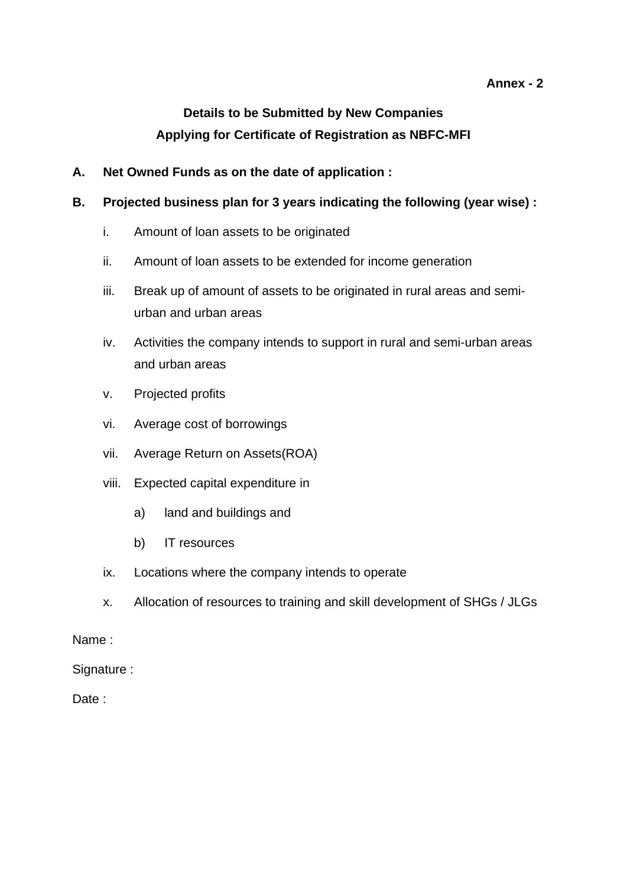### **Annex - 2**

# **Details to be Submitted by New Companies Applying for Certificate of Registration as NBFC-MFI**

- **A. Net Owned Funds as on the date of application :**
- **B. Projected business plan for 3 years indicating the following (year wise) :**
	- i. Amount of loan assets to be originated
	- ii. Amount of loan assets to be extended for income generation
	- iii. Break up of amount of assets to be originated in rural areas and semiurban and urban areas
	- iv. Activities the company intends to support in rural and semi-urban areas and urban areas
	- v. Projected profits
	- vi. Average cost of borrowings
	- vii. Average Return on Assets(ROA)
	- viii. Expected capital expenditure in
		- a) land and buildings and
		- b) IT resources
	- ix. Locations where the company intends to operate
	- x. Allocation of resources to training and skill development of SHGs / JLGs

#### Name :

Signature :

Date: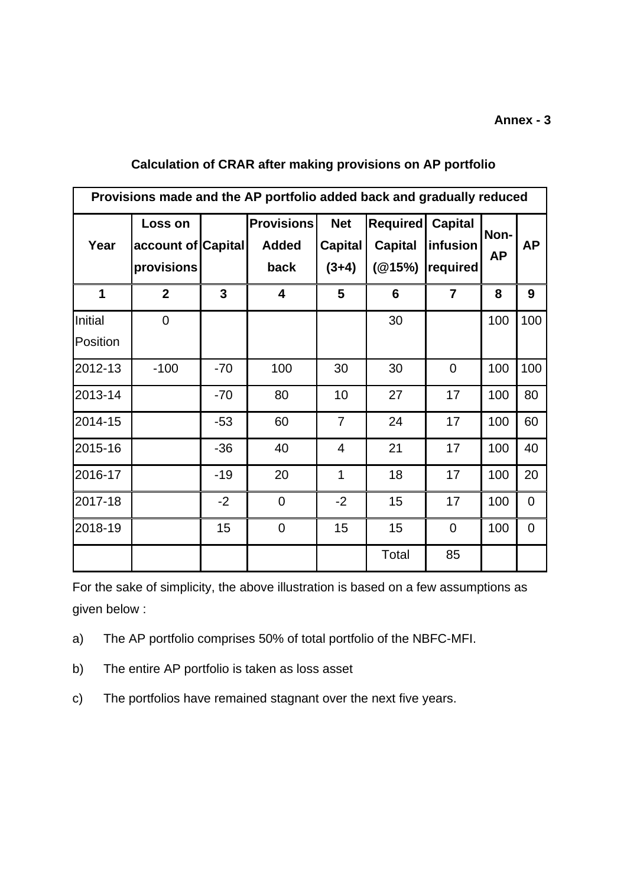#### **Annex - 3**

| Provisions made and the AP portfolio added back and gradually reduced |                                             |                |                                           |                                         |                                             |                                        |                   |                |
|-----------------------------------------------------------------------|---------------------------------------------|----------------|-------------------------------------------|-----------------------------------------|---------------------------------------------|----------------------------------------|-------------------|----------------|
| Year                                                                  | Loss on<br>account of Capital<br>provisions |                | <b>Provisions</b><br><b>Added</b><br>back | <b>Net</b><br><b>Capital</b><br>$(3+4)$ | <b>Required</b><br><b>Capital</b><br>(@15%) | <b>Capital</b><br>infusion<br>required | Non-<br><b>AP</b> | <b>AP</b>      |
| 1                                                                     | $\overline{2}$                              | $\overline{3}$ | $\overline{\mathbf{4}}$                   | 5                                       | $6\phantom{1}6$                             | $\overline{7}$                         | 8                 | 9              |
| Initial<br>Position                                                   | $\overline{0}$                              |                |                                           |                                         | 30                                          |                                        | 100               | 100            |
| 2012-13                                                               | $-100$                                      | $-70$          | 100                                       | 30                                      | 30                                          | $\Omega$                               | 100               | 100            |
| 2013-14                                                               |                                             | $-70$          | 80                                        | 10                                      | 27                                          | 17                                     | 100               | 80             |
| 2014-15                                                               |                                             | $-53$          | 60                                        | $\overline{7}$                          | 24                                          | 17                                     | 100               | 60             |
| 2015-16                                                               |                                             | $-36$          | 40                                        | 4                                       | 21                                          | 17                                     | 100               | 40             |
| 2016-17                                                               |                                             | $-19$          | 20                                        | $\overline{1}$                          | 18                                          | 17                                     | 100               | 20             |
| 2017-18                                                               |                                             | $-2$           | $\overline{0}$                            | $-2$                                    | 15                                          | 17                                     | 100               | $\overline{0}$ |
| 2018-19                                                               |                                             | 15             | $\mathbf 0$                               | 15                                      | 15                                          | $\overline{0}$                         | 100               | 0              |
|                                                                       |                                             |                |                                           |                                         | Total                                       | 85                                     |                   |                |

### **Calculation of CRAR after making provisions on AP portfolio**

For the sake of simplicity, the above illustration is based on a few assumptions as given below :

- a) The AP portfolio comprises 50% of total portfolio of the NBFC-MFI.
- b) The entire AP portfolio is taken as loss asset
- c) The portfolios have remained stagnant over the next five years.